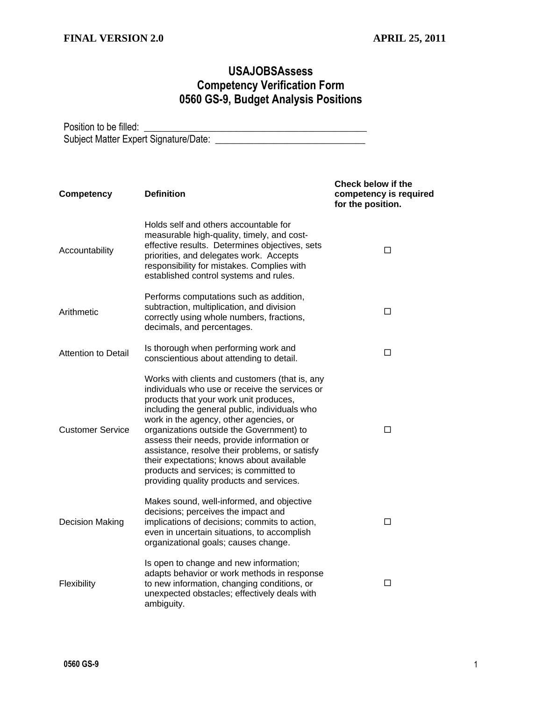## **USAJOBSAssess Competency Verification Form 0560 GS-9, Budget Analysis Positions**

Position to be filled: \_\_\_\_\_\_\_\_\_\_\_\_\_\_\_\_\_\_\_\_\_\_\_\_\_\_\_\_\_\_\_\_\_\_\_\_\_\_\_\_\_\_\_\_\_\_ Subject Matter Expert Signature/Date: \_\_\_\_\_\_\_\_\_\_\_\_\_\_\_\_\_\_\_\_\_\_\_\_\_\_\_\_\_\_\_

| <b>Competency</b>          | <b>Definition</b>                                                                                                                                                                                                                                                                                                                                                                                                                                                                                                    | <b>Check below if the</b><br>competency is required<br>for the position. |
|----------------------------|----------------------------------------------------------------------------------------------------------------------------------------------------------------------------------------------------------------------------------------------------------------------------------------------------------------------------------------------------------------------------------------------------------------------------------------------------------------------------------------------------------------------|--------------------------------------------------------------------------|
| Accountability             | Holds self and others accountable for<br>measurable high-quality, timely, and cost-<br>effective results. Determines objectives, sets<br>priorities, and delegates work. Accepts<br>responsibility for mistakes. Complies with<br>established control systems and rules.                                                                                                                                                                                                                                             | □                                                                        |
| Arithmetic                 | Performs computations such as addition,<br>subtraction, multiplication, and division<br>correctly using whole numbers, fractions,<br>decimals, and percentages.                                                                                                                                                                                                                                                                                                                                                      | □                                                                        |
| <b>Attention to Detail</b> | Is thorough when performing work and<br>conscientious about attending to detail.                                                                                                                                                                                                                                                                                                                                                                                                                                     | □                                                                        |
| <b>Customer Service</b>    | Works with clients and customers (that is, any<br>individuals who use or receive the services or<br>products that your work unit produces,<br>including the general public, individuals who<br>work in the agency, other agencies, or<br>organizations outside the Government) to<br>assess their needs, provide information or<br>assistance, resolve their problems, or satisfy<br>their expectations; knows about available<br>products and services; is committed to<br>providing quality products and services. | П                                                                        |
| <b>Decision Making</b>     | Makes sound, well-informed, and objective<br>decisions; perceives the impact and<br>implications of decisions; commits to action,<br>even in uncertain situations, to accomplish<br>organizational goals; causes change.                                                                                                                                                                                                                                                                                             | □                                                                        |
| Flexibility                | Is open to change and new information;<br>adapts behavior or work methods in response<br>to new information, changing conditions, or<br>unexpected obstacles; effectively deals with<br>ambiguity.                                                                                                                                                                                                                                                                                                                   | □                                                                        |